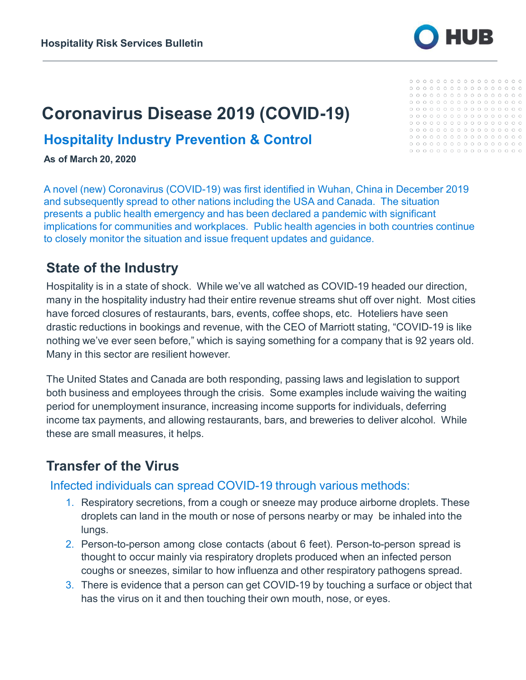

# **Coronavirus Disease 2019 (COVID-19)**

#### **Hospitality Industry Prevention & Control**

**As of March 20, 2020**

A novel (new) Coronavirus (COVID-19) was first identified in Wuhan, China in December 2019 and subsequently spread to other nations including the USA and Canada. The situation presents a public health emergency and has been declared a pandemic with significant implications for communities and workplaces. Public health agencies in both countries continue to closely monitor the situation and issue frequent updates and guidance.

#### **State of the Industry**

Hospitality is in a state of shock. While we've all watched as COVID-19 headed our direction, many in the hospitality industry had their entire revenue streams shut off over night. Most cities have forced closures of restaurants, bars, events, coffee shops, etc. Hoteliers have seen drastic reductions in bookings and revenue, with the CEO of Marriott stating, "COVID-19 is like nothing we've ever seen before," which is saying something for a company that is 92 years old. Many in this sector are resilient however.

The United States and Canada are both responding, passing laws and legislation to support both business and employees through the crisis. Some examples include waiving the waiting period for unemployment insurance, increasing income supports for individuals, deferring income tax payments, and allowing restaurants, bars, and breweries to deliver alcohol. While these are small measures, it helps.

### **Transfer of the Virus**

#### Infected individuals can spread COVID-19 through various methods:

- 1. Respiratory secretions, from a cough or sneeze may produce airborne droplets. These droplets can land in the mouth or nose of persons nearby or may be inhaled into the lungs.
- 2. Person-to-person among close contacts (about 6 feet). Person-to-person spread is thought to occur mainly via respiratory droplets produced when an infected person coughs or sneezes, similar to how influenza and other respiratory pathogens spread.
- 3. There is evidence that a person can get COVID-19 by touching a surface or object that has the virus on it and then touching their own mouth, nose, or eyes.

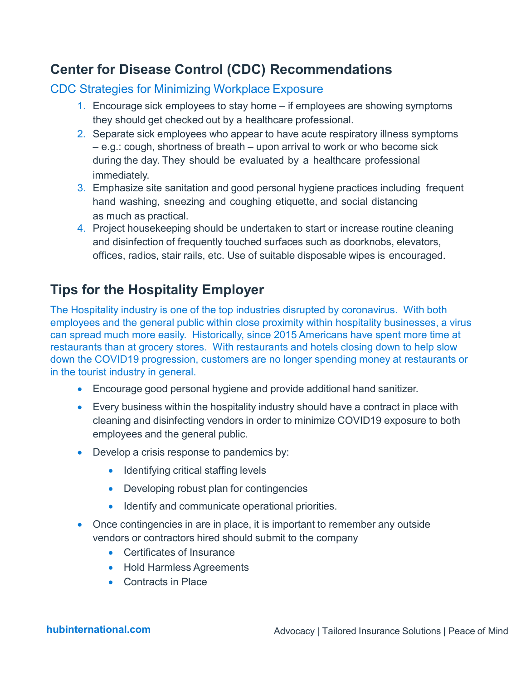# **Center for Disease Control (CDC) Recommendations**

#### CDC Strategies for Minimizing Workplace Exposure

- 1. Encourage sick employees to stay home if employees are showing symptoms they should get checked out by a healthcare professional.
- 2. Separate sick employees who appear to have acute respiratory illness symptoms – e.g.: cough, shortness of breath – upon arrival to work or who become sick during the day. They should be evaluated by a healthcare professional immediately.
- 3. Emphasize site sanitation and good personal hygiene practices including frequent hand washing, sneezing and coughing etiquette, and social distancing as much as practical.
- 4. Project housekeeping should be undertaken to start or increase routine cleaning and disinfection of frequently touched surfaces such as doorknobs, elevators, offices, radios, stair rails, etc. Use of suitable disposable wipes is encouraged.

# **Tips for the Hospitality Employer**

The Hospitality industry is one of the top industries disrupted by coronavirus. With both employees and the general public within close proximity within hospitality businesses, a virus can spread much more easily. Historically, since 2015 Americans have spent more time at restaurants than at grocery stores. With restaurants and hotels closing down to help slow down the COVID19 progression, customers are no longer spending money at restaurants or in the tourist industry in general.

- Encourage good personal hygiene and provide additional hand sanitizer.
- Every business within the hospitality industry should have a contract in place with cleaning and disinfecting vendors in order to minimize COVID19 exposure to both employees and the general public.
- Develop a crisis response to pandemics by:
	- Identifying critical staffing levels
	- Developing robust plan for contingencies
	- Identify and communicate operational priorities.
- Once contingencies in are in place, it is important to remember any outside vendors or contractors hired should submit to the company
	- Certificates of Insurance
	- Hold Harmless Agreements
	- Contracts in Place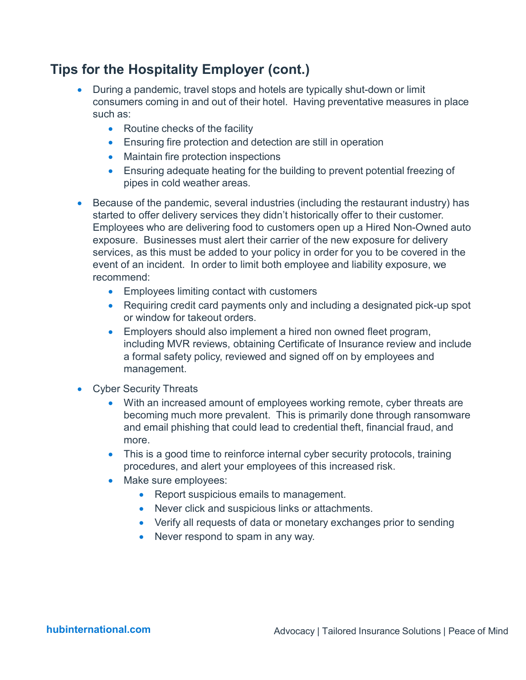# **Tips for the Hospitality Employer (cont.)**

- During a pandemic, travel stops and hotels are typically shut-down or limit consumers coming in and out of their hotel. Having preventative measures in place such as:
	- Routine checks of the facility
	- Ensuring fire protection and detection are still in operation
	- Maintain fire protection inspections
	- Ensuring adequate heating for the building to prevent potential freezing of pipes in cold weather areas.
- Because of the pandemic, several industries (including the restaurant industry) has started to offer delivery services they didn't historically offer to their customer. Employees who are delivering food to customers open up a Hired Non-Owned auto exposure. Businesses must alert their carrier of the new exposure for delivery services, as this must be added to your policy in order for you to be covered in the event of an incident. In order to limit both employee and liability exposure, we recommend:
	- Employees limiting contact with customers
	- Requiring credit card payments only and including a designated pick-up spot or window for takeout orders.
	- Employers should also implement a hired non owned fleet program, including MVR reviews, obtaining Certificate of Insurance review and include a formal safety policy, reviewed and signed off on by employees and management.
- Cyber Security Threats
	- With an increased amount of employees working remote, cyber threats are becoming much more prevalent. This is primarily done through ransomware and email phishing that could lead to credential theft, financial fraud, and more.
	- This is a good time to reinforce internal cyber security protocols, training procedures, and alert your employees of this increased risk.
	- Make sure employees:
		- Report suspicious emails to management.
		- Never click and suspicious links or attachments.
		- Verify all requests of data or monetary exchanges prior to sending
		- Never respond to spam in any way.